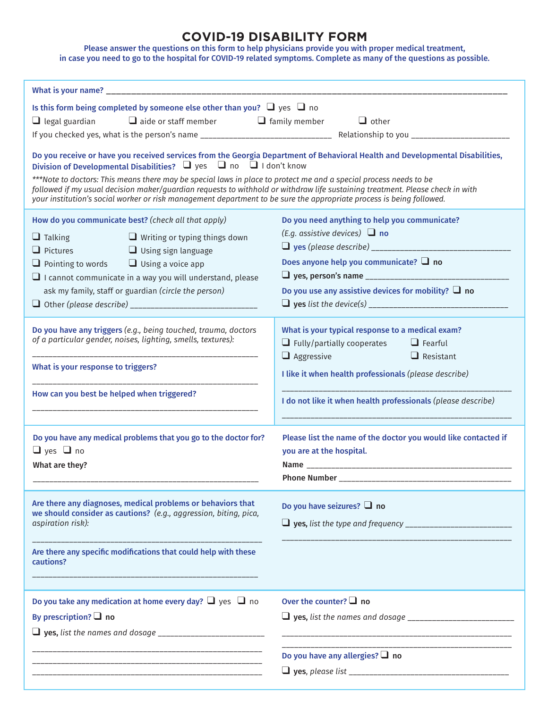## **COVID-19 DISABILITY FORM**

Please answer the questions on this form to help physicians provide you with proper medical treatment, in case you need to go to the hospital for COVID-19 related symptoms. Complete as many of the questions as possible.

| Is this form being completed by someone else other than you? $\Box$ yes $\Box$ no                                                                                                                                                                                                                                                                                                                                                                                                                                                                                                               |                                                                 |                                    |                                                                                                                       |  |
|-------------------------------------------------------------------------------------------------------------------------------------------------------------------------------------------------------------------------------------------------------------------------------------------------------------------------------------------------------------------------------------------------------------------------------------------------------------------------------------------------------------------------------------------------------------------------------------------------|-----------------------------------------------------------------|------------------------------------|-----------------------------------------------------------------------------------------------------------------------|--|
| $\Box$ legal guardian $\Box$ aide or staff member $\Box$ family member                                                                                                                                                                                                                                                                                                                                                                                                                                                                                                                          |                                                                 |                                    | $\Box$ other                                                                                                          |  |
|                                                                                                                                                                                                                                                                                                                                                                                                                                                                                                                                                                                                 |                                                                 |                                    |                                                                                                                       |  |
| Do you receive or have you received services from the Georgia Department of Behavioral Health and Developmental Disabilities,<br>Division of Developmental Disabilities? $\Box$ yes $\Box$ no $\Box$ I don't know<br>***Note to doctors: This means there may be special laws in place to protect me and a special process needs to be<br>followed if my usual decision maker/guardian requests to withhold or withdraw life sustaining treatment. Please check in with<br>your institution's social worker or risk management department to be sure the appropriate process is being followed. |                                                                 |                                    |                                                                                                                       |  |
| How do you communicate best? (check all that apply)                                                                                                                                                                                                                                                                                                                                                                                                                                                                                                                                             |                                                                 |                                    | Do you need anything to help you communicate?                                                                         |  |
| $\Box$ Writing or typing things down                                                                                                                                                                                                                                                                                                                                                                                                                                                                                                                                                            |                                                                 | (E.g. assistive devices) $\Box$ no |                                                                                                                       |  |
| $\Box$ Talking<br>$\Box$ Pictures                                                                                                                                                                                                                                                                                                                                                                                                                                                                                                                                                               | $\Box$ Using sign language                                      |                                    |                                                                                                                       |  |
| $\Box$ Pointing to words $\Box$ Using a voice app                                                                                                                                                                                                                                                                                                                                                                                                                                                                                                                                               |                                                                 |                                    | Does anyone help you communicate? $\Box$ no                                                                           |  |
| $\Box$ I cannot communicate in a way you will understand, please                                                                                                                                                                                                                                                                                                                                                                                                                                                                                                                                |                                                                 |                                    |                                                                                                                       |  |
| ask my family, staff or guardian (circle the person)                                                                                                                                                                                                                                                                                                                                                                                                                                                                                                                                            |                                                                 |                                    | Do you use any assistive devices for mobility? $\Box$ no                                                              |  |
|                                                                                                                                                                                                                                                                                                                                                                                                                                                                                                                                                                                                 |                                                                 |                                    |                                                                                                                       |  |
|                                                                                                                                                                                                                                                                                                                                                                                                                                                                                                                                                                                                 |                                                                 |                                    |                                                                                                                       |  |
| Do you have any triggers (e.g., being touched, trauma, doctors<br>of a particular gender, noises, lighting, smells, textures):                                                                                                                                                                                                                                                                                                                                                                                                                                                                  |                                                                 |                                    | What is your typical response to a medical exam?                                                                      |  |
|                                                                                                                                                                                                                                                                                                                                                                                                                                                                                                                                                                                                 |                                                                 |                                    | $\Box$ Fully/partially cooperates $\Box$ Fearful                                                                      |  |
|                                                                                                                                                                                                                                                                                                                                                                                                                                                                                                                                                                                                 |                                                                 | $\Box$ Aggressive                  | $\Box$ Resistant                                                                                                      |  |
| What is your response to triggers?                                                                                                                                                                                                                                                                                                                                                                                                                                                                                                                                                              |                                                                 |                                    | I like it when health professionals (please describe)                                                                 |  |
|                                                                                                                                                                                                                                                                                                                                                                                                                                                                                                                                                                                                 |                                                                 |                                    |                                                                                                                       |  |
| How can you best be helped when triggered?                                                                                                                                                                                                                                                                                                                                                                                                                                                                                                                                                      |                                                                 |                                    | I do not like it when health professionals (please describe)                                                          |  |
|                                                                                                                                                                                                                                                                                                                                                                                                                                                                                                                                                                                                 |                                                                 |                                    |                                                                                                                       |  |
|                                                                                                                                                                                                                                                                                                                                                                                                                                                                                                                                                                                                 |                                                                 |                                    |                                                                                                                       |  |
|                                                                                                                                                                                                                                                                                                                                                                                                                                                                                                                                                                                                 | Do you have any medical problems that you go to the doctor for? |                                    | Please list the name of the doctor you would like contacted if                                                        |  |
| $\Box$ yes $\Box$ no                                                                                                                                                                                                                                                                                                                                                                                                                                                                                                                                                                            |                                                                 | you are at the hospital.           |                                                                                                                       |  |
| What are they?                                                                                                                                                                                                                                                                                                                                                                                                                                                                                                                                                                                  |                                                                 |                                    |                                                                                                                       |  |
|                                                                                                                                                                                                                                                                                                                                                                                                                                                                                                                                                                                                 |                                                                 | Phone Number _                     |                                                                                                                       |  |
| Are there any diagnoses, medical problems or behaviors that<br>we should consider as cautions? (e.g., aggression, biting, pica,<br>aspiration risk):                                                                                                                                                                                                                                                                                                                                                                                                                                            |                                                                 |                                    | Do you have seizures? $\Box$ no                                                                                       |  |
|                                                                                                                                                                                                                                                                                                                                                                                                                                                                                                                                                                                                 |                                                                 |                                    |                                                                                                                       |  |
|                                                                                                                                                                                                                                                                                                                                                                                                                                                                                                                                                                                                 |                                                                 |                                    |                                                                                                                       |  |
|                                                                                                                                                                                                                                                                                                                                                                                                                                                                                                                                                                                                 |                                                                 |                                    |                                                                                                                       |  |
| Are there any specific modifications that could help with these<br>cautions?                                                                                                                                                                                                                                                                                                                                                                                                                                                                                                                    |                                                                 |                                    |                                                                                                                       |  |
|                                                                                                                                                                                                                                                                                                                                                                                                                                                                                                                                                                                                 |                                                                 |                                    |                                                                                                                       |  |
|                                                                                                                                                                                                                                                                                                                                                                                                                                                                                                                                                                                                 |                                                                 |                                    |                                                                                                                       |  |
| Do you take any medication at home every day? $\Box$ yes $\Box$ no                                                                                                                                                                                                                                                                                                                                                                                                                                                                                                                              |                                                                 | Over the counter? $\Box$ no        |                                                                                                                       |  |
| By prescription? $\Box$ no                                                                                                                                                                                                                                                                                                                                                                                                                                                                                                                                                                      |                                                                 |                                    |                                                                                                                       |  |
|                                                                                                                                                                                                                                                                                                                                                                                                                                                                                                                                                                                                 |                                                                 |                                    | <u> 1989 - Johann Harry Harry Harry Harry Harry Harry Harry Harry Harry Harry Harry Harry Harry Harry Harry Harry</u> |  |
|                                                                                                                                                                                                                                                                                                                                                                                                                                                                                                                                                                                                 |                                                                 |                                    | __________________________                                                                                            |  |
|                                                                                                                                                                                                                                                                                                                                                                                                                                                                                                                                                                                                 |                                                                 |                                    | Do you have any allergies? $\Box$ no                                                                                  |  |
|                                                                                                                                                                                                                                                                                                                                                                                                                                                                                                                                                                                                 |                                                                 |                                    |                                                                                                                       |  |
|                                                                                                                                                                                                                                                                                                                                                                                                                                                                                                                                                                                                 |                                                                 |                                    |                                                                                                                       |  |